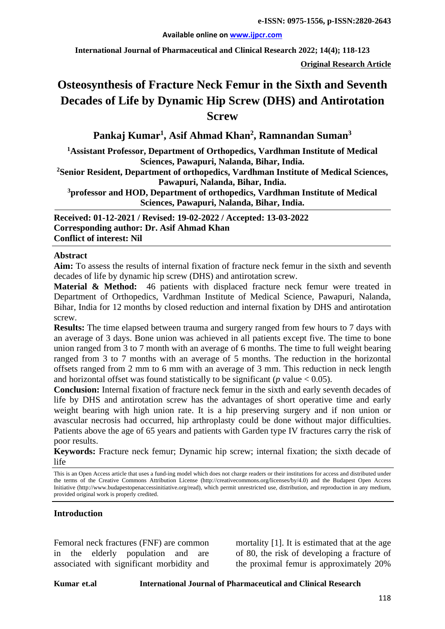**Available online on [www.ijpcr.com](http://www.ijpcr.com/)**

**International Journal of Pharmaceutical and Clinical Research 2022; 14(4); 118-123**

**Original Research Article**

# **Osteosynthesis of Fracture Neck Femur in the Sixth and Seventh Decades of Life by Dynamic Hip Screw (DHS) and Antirotation Screw**

**Pankaj Kumar1 , Asif Ahmad Khan<sup>2</sup> , Ramnandan Suman3**

**1 Assistant Professor, Department of Orthopedics, Vardhman Institute of Medical Sciences, Pawapuri, Nalanda, Bihar, India.**

**2 Senior Resident, Department of orthopedics, Vardhman Institute of Medical Sciences, Pawapuri, Nalanda, Bihar, India.**

**3 professor and HOD, Department of orthopedics, Vardhman Institute of Medical Sciences, Pawapuri, Nalanda, Bihar, India.**

**Received: 01-12-2021 / Revised: 19-02-2022 / Accepted: 13-03-2022 Corresponding author: Dr. Asif Ahmad Khan Conflict of interest: Nil**

#### **Abstract**

**Aim:** To assess the results of internal fixation of fracture neck femur in the sixth and seventh decades of life by dynamic hip screw (DHS) and antirotation screw.

**Material & Method:** 46 patients with displaced fracture neck femur were treated in Department of Orthopedics, Vardhman Institute of Medical Science, Pawapuri, Nalanda, Bihar, India for 12 months by closed reduction and internal fixation by DHS and antirotation screw.

**Results:** The time elapsed between trauma and surgery ranged from few hours to 7 days with an average of 3 days. Bone union was achieved in all patients except five. The time to bone union ranged from 3 to 7 month with an average of 6 months. The time to full weight bearing ranged from 3 to 7 months with an average of 5 months. The reduction in the horizontal offsets ranged from 2 mm to 6 mm with an average of 3 mm. This reduction in neck length and horizontal offset was found statistically to be significant ( $p$  value  $< 0.05$ ).

**Conclusion:** Internal fixation of fracture neck femur in the sixth and early seventh decades of life by DHS and antirotation screw has the advantages of short operative time and early weight bearing with high union rate. It is a hip preserving surgery and if non union or avascular necrosis had occurred, hip arthroplasty could be done without major difficulties. Patients above the age of 65 years and patients with Garden type IV fractures carry the risk of poor results.

**Keywords:** Fracture neck femur; Dynamic hip screw; internal fixation; the sixth decade of life

This is an Open Access article that uses a fund-ing model which does not charge readers or their institutions for access and distributed under the terms of the Creative Commons Attribution License (http://creativecommons.org/licenses/by/4.0) and the Budapest Open Access Initiative (http://www.budapestopenaccessinitiative.org/read), which permit unrestricted use, distribution, and reproduction in any medium, provided original work is properly credited.

#### **Introduction**

Femoral neck fractures (FNF) are common in the elderly population and are associated with significant morbidity and

mortality [1]. It is estimated that at the age of 80, the risk of developing a fracture of the proximal femur is approximately 20%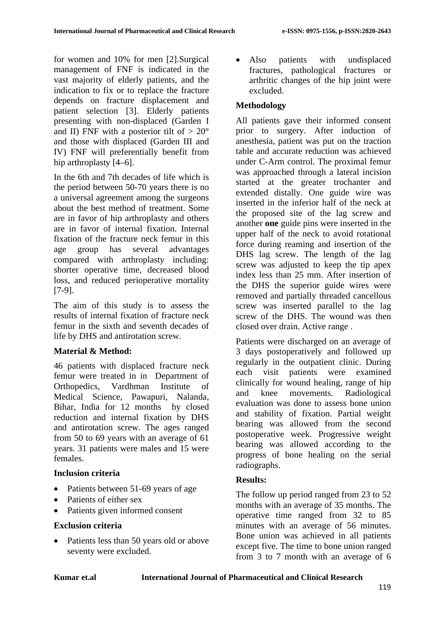for women and 10% for men [2].Surgical management of FNF is indicated in the vast majority of elderly patients, and the indication to fix or to replace the fracture depends on fracture displacement and patient selection [3]. Elderly patients presenting with non-displaced (Garden I and II) FNF with a posterior tilt of  $> 20^{\circ}$ and those with displaced (Garden III and IV) FNF will preferentially benefit from hip arthroplasty  $[4-6]$ .

In the 6th and 7th decades of life which is the period between 50-70 years there is no a universal agreement among the surgeons about the best method of treatment. Some are in favor of hip arthroplasty and others are in favor of internal fixation. Internal fixation of the fracture neck femur in this age group has several advantages compared with arthroplasty including: shorter operative time, decreased blood loss, and reduced perioperative mortality [7-9].

The aim of this study is to assess the results of internal fixation of fracture neck femur in the sixth and seventh decades of life by DHS and antirotation screw.

## **Material & Method:**

46 patients with displaced fracture neck femur were treated in in Department of Orthopedics, Vardhman Institute of Medical Science, Pawapuri, Nalanda, Bihar, India for 12 months by closed reduction and internal fixation by DHS and antirotation screw. The ages ranged from 50 to 69 years with an average of 61 years. 31 patients were males and 15 were females.

# **Inclusion criteria**

- Patients between 51-69 years of age
- Patients of either sex
- Patients given informed consent

## **Exclusion criteria**

• Patients less than 50 years old or above seventy were excluded.

• Also patients with undisplaced fractures, pathological fractures or arthritic changes of the hip joint were excluded.

# **Methodology**

All patients gave their informed consent prior to surgery. After induction of anesthesia, patient was put on the traction table and accurate reduction was achieved under C-Arm control. The proximal femur was approached through a lateral incision started at the greater trochanter and extended distally. One guide wire was inserted in the inferior half of the neck at the proposed site of the lag screw and another **one** guide pins were inserted in the upper half of the neck to avoid rotational force during reaming and insertion of the DHS lag screw. The length of the lag screw was adjusted to keep the tip apex index less than 25 mm. After insertion of the DHS the superior guide wires were removed and partially threaded cancellous screw was inserted parallel to the lag screw of the DHS. The wound was then closed over drain. Active range .

Patients were discharged on an average of 3 days postoperatively and followed up regularly in the outpatient clinic. During each visit patients were examined clinically for wound healing, range of hip and knee movements. Radiological evaluation was done to assess bone union and stability of fixation. Partial weight bearing was allowed from the second postoperative week. Progressive weight bearing was allowed according to the progress of bone healing on the serial radiographs.

## **Results:**

The follow up period ranged from 23 to 52 months with an average of 35 months. The operative time ranged from 32 to 85 minutes with an average of 56 minutes. Bone union was achieved in all patients except five. The time to bone union ranged from 3 to 7 month with an average of 6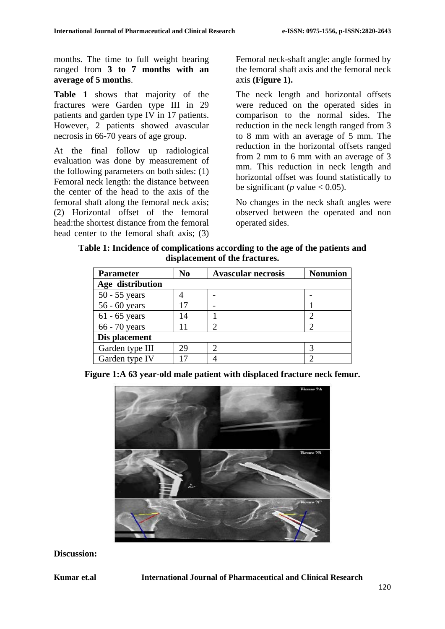months. The time to full weight bearing ranged from **3 to 7 months with an average of 5 months**.

**Table 1** shows that majority of the fractures were Garden type III in 29 patients and garden type IV in 17 patients. However, 2 patients showed avascular necrosis in 66-70 years of age group.

At the final follow up radiological evaluation was done by measurement of the following parameters on both sides: (1) Femoral neck length: the distance between the center of the head to the axis of the femoral shaft along the femoral neck axis; (2) Horizontal offset of the femoral head:the shortest distance from the femoral head center to the femoral shaft axis; (3) Femoral neck-shaft angle: angle formed by the femoral shaft axis and the femoral neck axis **(Figure 1).**

The neck length and horizontal offsets were reduced on the operated sides in comparison to the normal sides. The reduction in the neck length ranged from 3 to 8 mm with an average of 5 mm. The reduction in the horizontal offsets ranged from 2 mm to 6 mm with an average of 3 mm. This reduction in neck length and horizontal offset was found statistically to be significant (*p* value  $< 0.05$ ).

No changes in the neck shaft angles were observed between the operated and non operated sides.

**Table 1: Incidence of complications according to the age of the patients and displacement of the fractures.**

| <b>Parameter</b> | No | <b>Avascular necrosis</b> | <b>Nonunion</b> |
|------------------|----|---------------------------|-----------------|
| Age distribution |    |                           |                 |
| $50 - 55$ years  |    |                           |                 |
| $56 - 60$ years  | 17 |                           |                 |
| $61 - 65$ years  | 14 |                           |                 |
| 66 - 70 years    | 11 |                           |                 |
| Dis placement    |    |                           |                 |
| Garden type III  | 29 |                           |                 |
| Garden type IV   | 17 |                           |                 |

**Figure 1:A 63 year-old male patient with displaced fracture neck femur.**



**Discussion:**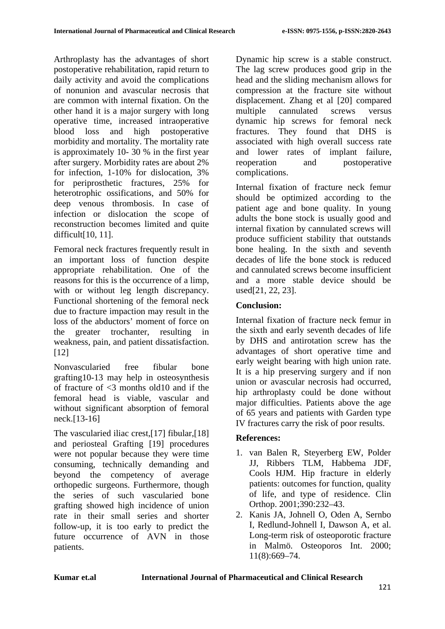Arthroplasty has the advantages of short postoperative rehabilitation, rapid return to daily activity and avoid the complications of nonunion and avascular necrosis that are common with internal fixation. On the other hand it is a major surgery with long operative time, increased intraoperative blood loss and high postoperative morbidity and mortality. The mortality rate is approximately 10- 30 % in the first year after surgery. Morbidity rates are about 2% for infection, 1-10% for dislocation, 3% for periprosthetic fractures, 25% for heterotrophic ossifications, and 50% for deep venous thrombosis. In case of infection or dislocation the scope of reconstruction becomes limited and quite difficult[10, 11].

Femoral neck fractures frequently result in an important loss of function despite appropriate rehabilitation. One of the reasons for this is the occurrence of a limp, with or without leg length discrepancy. Functional shortening of the femoral neck due to fracture impaction may result in the loss of the abductors' moment of force on the greater trochanter, resulting in weakness, pain, and patient dissatisfaction. [12]

Nonvascularied free fibular bone grafting10-13 may help in osteosynthesis of fracture of <3 months old10 and if the femoral head is viable, vascular and without significant absorption of femoral neck.[13-16]

The vascularied iliac crest,[17] fibular,[18] and periosteal Grafting [19] procedures were not popular because they were time consuming, technically demanding and beyond the competency of average orthopedic surgeons. Furthermore, though the series of such vascularied bone grafting showed high incidence of union rate in their small series and shorter follow-up, it is too early to predict the future occurrence of AVN in those patients.

Dynamic hip screw is a stable construct. The lag screw produces good grip in the head and the sliding mechanism allows for compression at the fracture site without displacement. Zhang et al [20] compared multiple cannulated screws versus dynamic hip screws for femoral neck fractures. They found that DHS is associated with high overall success rate and lower rates of implant failure, reoperation and postoperative complications.

Internal fixation of fracture neck femur should be optimized according to the patient age and bone quality. In young adults the bone stock is usually good and internal fixation by cannulated screws will produce sufficient stability that outstands bone healing. In the sixth and seventh decades of life the bone stock is reduced and cannulated screws become insufficient and a more stable device should be used[21, 22, 23].

## **Conclusion:**

Internal fixation of fracture neck femur in the sixth and early seventh decades of life by DHS and antirotation screw has the advantages of short operative time and early weight bearing with high union rate. It is a hip preserving surgery and if non union or avascular necrosis had occurred, hip arthroplasty could be done without major difficulties. Patients above the age of 65 years and patients with Garden type IV fractures carry the risk of poor results.

## **References:**

- 1. van Balen R, Steyerberg EW, Polder JJ, Ribbers TLM, Habbema JDF, Cools HJM. Hip fracture in elderly patients: outcomes for function, quality of life, and type of residence. Clin Orthop. 2001;390:232–43.
- 2. Kanis JA, Johnell O, Oden A, Sernbo I, Redlund-Johnell I, Dawson A, et al. Long-term risk of osteoporotic fracture in Malmö. Osteoporos Int. 2000; 11(8):669–74.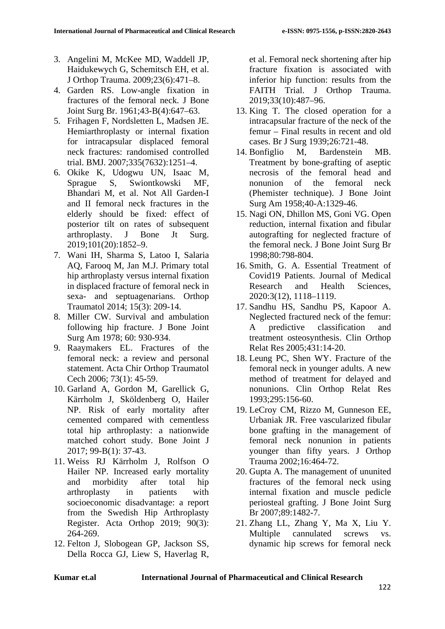- 3. Angelini M, McKee MD, Waddell JP, Haidukewych G, Schemitsch EH, et al. J Orthop Trauma. 2009;23(6):471–8.
- 4. Garden RS. Low-angle fixation in fractures of the femoral neck. J Bone Joint Surg Br. 1961;43-B(4):647–63.
- 5. Frihagen F, Nordsletten L, Madsen JE. Hemiarthroplasty or internal fixation for intracapsular displaced femoral neck fractures: randomised controlled trial. BMJ. 2007;335(7632):1251–4.
- 6. Okike K, Udogwu UN, Isaac M, Sprague S, Swiontkowski MF, Bhandari M, et al. Not All Garden-I and II femoral neck fractures in the elderly should be fixed: effect of posterior tilt on rates of subsequent arthroplasty. J Bone Jt Surg. 2019;101(20):1852–9.
- 7. Wani IH, Sharma S, Latoo I, Salaria AQ, Farooq M, Jan M.J. Primary total hip arthroplasty versus internal fixation in displaced fracture of femoral neck in sexa- and septuagenarians. Orthop Traumatol 2014; 15(3): 209-14.
- 8. Miller CW. Survival and ambulation following hip fracture. J Bone Joint Surg Am 1978; 60: 930-934.
- 9. Raaymakers EL. Fractures of the femoral neck: a review and personal statement. Acta Chir Orthop Traumatol Cech 2006; 73(1): 45-59.
- 10. Garland A, Gordon M, Garellick G, Kärrholm J, Sköldenberg O, Hailer NP. Risk of early mortality after cemented compared with cementless total hip arthroplasty: a nationwide matched cohort study. Bone Joint J 2017; 99-B(1): 37-43.
- 11. Weiss RJ Kärrholm J, Rolfson O Hailer NP. Increased early mortality and morbidity after total hip arthroplasty in patients with socioeconomic disadvantage: a report from the Swedish Hip Arthroplasty Register. Acta Orthop 2019; 90(3): 264-269.
- 12. Felton J, Slobogean GP, Jackson SS, Della Rocca GJ, Liew S, Haverlag R,

et al. Femoral neck shortening after hip fracture fixation is associated with inferior hip function: results from the FAITH Trial. J Orthop Trauma. 2019;33(10):487–96.

- 13. King T. The closed operation for a intracapsular fracture of the neck of the femur – Final results in recent and old cases. Br J Surg 1939;26:721-48.
- 14. Bonfiglio M, Bardenstein MB. Treatment by bone-grafting of aseptic necrosis of the femoral head and nonunion of the femoral neck (Phemister technique). J Bone Joint Surg Am 1958;40-A:1329-46.
- 15. Nagi ON, Dhillon MS, Goni VG. Open reduction, internal fixation and fibular autografting for neglected fracture of the femoral neck. J Bone Joint Surg Br 1998;80:798-804.
- 16. Smith, G. A. Essential Treatment of Covid19 Patients. Journal of Medical Research and Health Sciences, 2020:3(12), 1118–1119.
- 17. Sandhu HS, Sandhu PS, Kapoor A. Neglected fractured neck of the femur: A predictive classification and treatment osteosynthesis. Clin Orthop Relat Res 2005;431:14-20.
- 18. Leung PC, Shen WY. Fracture of the femoral neck in younger adults. A new method of treatment for delayed and nonunions. Clin Orthop Relat Res 1993;295:156-60.
- 19. LeCroy CM, Rizzo M, Gunneson EE, Urbaniak JR. Free vascularized fibular bone grafting in the management of femoral neck nonunion in patients younger than fifty years. J Orthop Trauma 2002;16:464-72.
- 20. Gupta A. The management of ununited fractures of the femoral neck using internal fixation and muscle pedicle periosteal grafting. J Bone Joint Surg Br 2007;89:1482-7.
- 21. Zhang LL, Zhang Y, Ma X, Liu Y. Multiple cannulated screws vs. dynamic hip screws for femoral neck